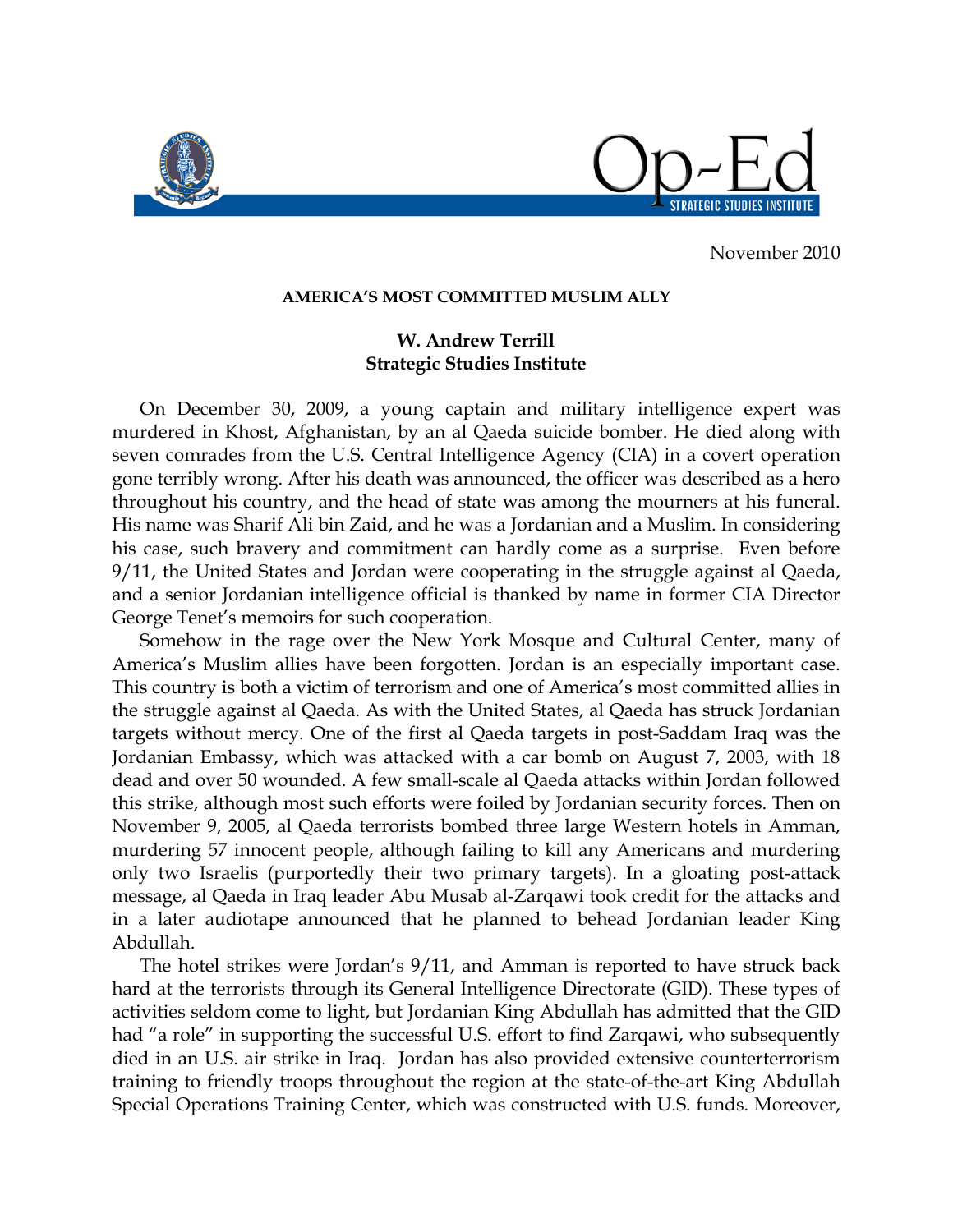

November 2010

## **AMERICA'S MOST COMMITTED MUSLIM ALLY**

## **W. Andrew Terrill Strategic Studies Institute**

On December 30, 2009, a young captain and military intelligence expert was murdered in Khost, Afghanistan, by an al Qaeda suicide bomber. He died along with seven comrades from the U.S. Central Intelligence Agency (CIA) in a covert operation gone terribly wrong. After his death was announced, the officer was described as a hero throughout his country, and the head of state was among the mourners at his funeral. His name was Sharif Ali bin Zaid, and he was a Jordanian and a Muslim. In considering his case, such bravery and commitment can hardly come as a surprise. Even before 9/11, the United States and Jordan were cooperating in the struggle against al Qaeda, and a senior Jordanian intelligence official is thanked by name in former CIA Director George Tenet's memoirs for such cooperation.

Somehow in the rage over the New York Mosque and Cultural Center, many of America's Muslim allies have been forgotten. Jordan is an especially important case. This country is both a victim of terrorism and one of America's most committed allies in the struggle against al Qaeda. As with the United States, al Qaeda has struck Jordanian targets without mercy. One of the first al Qaeda targets in post-Saddam Iraq was the Jordanian Embassy, which was attacked with a car bomb on August 7, 2003, with 18 dead and over 50 wounded. A few small-scale al Qaeda attacks within Jordan followed this strike, although most such efforts were foiled by Jordanian security forces. Then on November 9, 2005, al Qaeda terrorists bombed three large Western hotels in Amman, murdering 57 innocent people, although failing to kill any Americans and murdering only two Israelis (purportedly their two primary targets). In a gloating post-attack message, al Qaeda in Iraq leader Abu Musab al-Zarqawi took credit for the attacks and in a later audiotape announced that he planned to behead Jordanian leader King Abdullah.

The hotel strikes were Jordan's 9/11, and Amman is reported to have struck back hard at the terrorists through its General Intelligence Directorate (GID). These types of activities seldom come to light, but Jordanian King Abdullah has admitted that the GID had "a role" in supporting the successful U.S. effort to find Zarqawi, who subsequently died in an U.S. air strike in Iraq. Jordan has also provided extensive counterterrorism training to friendly troops throughout the region at the state-of-the-art King Abdullah Special Operations Training Center, which was constructed with U.S. funds. Moreover,